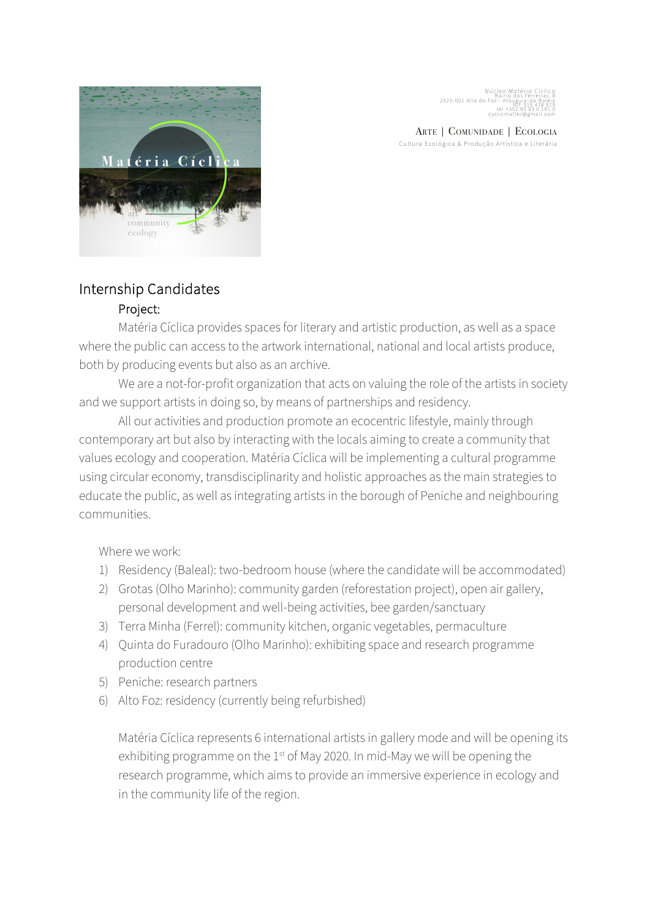*Núcleo Matéria Cíclica*<br>Bairro dos Ferreiras, 8<br>Express, 8 2525-001 Alto do Foz - Atouguia-da-Baleia<br>N IF 515 478 579<br>tel +351 93 93 0 10 1<br>Cyclicmatic

ARTE | COMUNIDADE | ECOLOGIA Cultura Ecológica & Produção Artística e Literária



# Internship Candidates

## Project:

Matéria Cíclica provides spaces for literary and artistic production, as well as a space where the public can access to the artwork international, national and local artists produce, both by producing events but also as an archive.

We are a not-for-profit organization that acts on valuing the role of the artists in society and we support artists in doing so, by means of partnerships and residency.

All our activities and production promote an ecocentric lifestyle, mainly through contemporary art but also by interacting with the locals aiming to create a community that values ecology and cooperation. Matéria Cíclica will be implementing a cultural programme using circular economy, transdisciplinarity and holistic approaches as the main strategies to educate the public, as well as integrating artists in the borough of Peniche and neighbouring communities.

Where we work:

- 1) Residency (Baleal): two-bedroom house (where the candidate will be accommodated)
- 2) Grotas (Olho Marinho): community garden (reforestation project), open air gallery, personal development and well-being activities, bee garden/sanctuary
- 3) Terra Minha (Ferrel): community kitchen, organic vegetables, permaculture
- 4) Quinta do Furadouro (Olho Marinho): exhibiting space and research programme production centre
- 5) Peniche: research partners
- 6) Alto Foz: residency (currently being refurbished)

Matéria Cíclica represents 6 international artists in gallery mode and will be opening its exhibiting programme on the 1<sup>st</sup> of May 2020. In mid-May we will be opening the research programme, which aims to provide an immersive experience in ecology and in the community life of the region.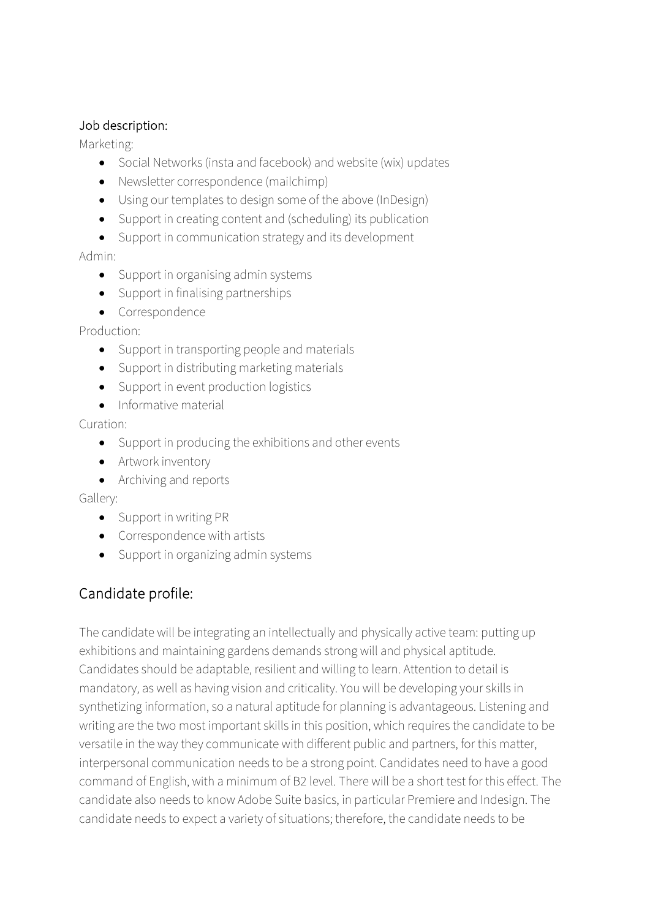#### Job description:

Marketing:

- Social Networks (insta and facebook) and website (wix) updates
- Newsletter correspondence (mailchimp)
- Using our templates to design some of the above (InDesign)
- Support in creating content and (scheduling) its publication
- Support in communication strategy and its development

Admin:

- Support in organising admin systems
- Support in finalising partnerships
- Correspondence

Production:

- Support in transporting people and materials
- Support in distributing marketing materials
- Support in event production logistics
- Informative material

Curation:

- Support in producing the exhibitions and other events
- Artwork inventory
- Archiving and reports

Gallery:

- Support in writing PR
- Correspondence with artists
- Support in organizing admin systems

## Candidate profile:

The candidate will be integrating an intellectually and physically active team: putting up exhibitions and maintaining gardens demands strong will and physical aptitude. Candidates should be adaptable, resilient and willing to learn. Attention to detail is mandatory, as well as having vision and criticality. You will be developing your skills in synthetizing information, so a natural aptitude for planning is advantageous. Listening and writing are the two most important skills in this position, which requires the candidate to be versatile in the way they communicate with different public and partners, for this matter, interpersonal communication needs to be a strong point. Candidates need to have a good command of English, with a minimum of B2 level. There will be a short test for this effect. The candidate also needs to know Adobe Suite basics, in particular Premiere and Indesign. The candidate needs to expect a variety of situations; therefore, the candidate needs to be